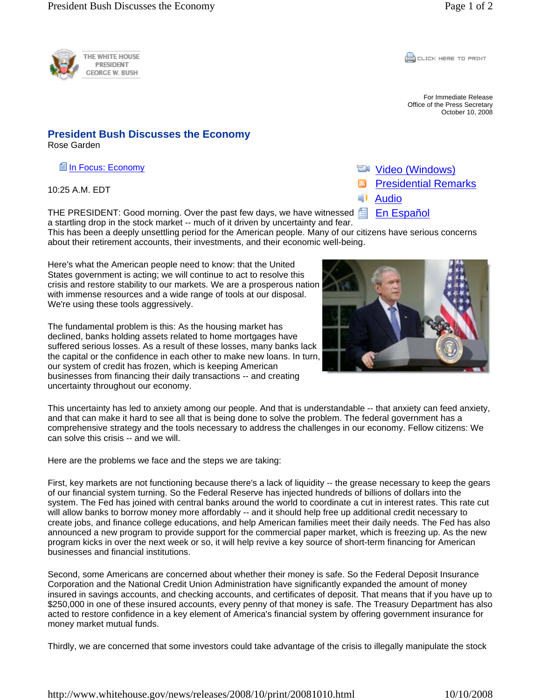THE WHITE HOUSE

**PRESIDENT GEORGE W. BUSH**  **CLICK HERE TO PRINT** 

For Immediate Release Office of the Press Secretary October 10, 2008

## **President Bush Discusses the Economy**

Rose Garden

In Focus: Economy

10:25 A.M. EDT

THE PRESIDENT: Good morning. Over the past few days, we have witnessed a startling drop in the stock market -- much of it driven by uncertainty and fear.

This has been a deeply unsettling period for the American people. Many of our citizens have serious concerns about their retirement accounts, their investments, and their economic well-being.

Here's what the American people need to know: that the United States government is acting; we will continue to act to resolve this crisis and restore stability to our markets. We are a prosperous nation with immense resources and a wide range of tools at our disposal. We're using these tools aggressively.

The fundamental problem is this: As the housing market has declined, banks holding assets related to home mortgages have suffered serious losses. As a result of these losses, many banks lack the capital or the confidence in each other to make new loans. In turn, our system of credit has frozen, which is keeping American businesses from financing their daily transactions -- and creating uncertainty throughout our economy.

This uncertainty has led to anxiety among our people. And that is understandable -- that anxiety can feed anxiety, and that can make it hard to see all that is being done to solve the problem. The federal government has a comprehensive strategy and the tools necessary to address the challenges in our economy. Fellow citizens: We can solve this crisis -- and we will.

Here are the problems we face and the steps we are taking:

First, key markets are not functioning because there's a lack of liquidity -- the grease necessary to keep the gears of our financial system turning. So the Federal Reserve has injected hundreds of billions of dollars into the system. The Fed has joined with central banks around the world to coordinate a cut in interest rates. This rate cut will allow banks to borrow money more affordably -- and it should help free up additional credit necessary to create jobs, and finance college educations, and help American families meet their daily needs. The Fed has also announced a new program to provide support for the commercial paper market, which is freezing up. As the new program kicks in over the next week or so, it will help revive a key source of short-term financing for American businesses and financial institutions.

Second, some Americans are concerned about whether their money is safe. So the Federal Deposit Insurance Corporation and the National Credit Union Administration have significantly expanded the amount of money insured in savings accounts, and checking accounts, and certificates of deposit. That means that if you have up to \$250,000 in one of these insured accounts, every penny of that money is safe. The Treasury Department has also acted to restore confidence in a key element of America's financial system by offering government insurance for money market mutual funds.

Thirdly, we are concerned that some investors could take advantage of the crisis to illegally manipulate the stock



**Wideo (Windows)** 

En Español

Audio

Presidential Remarks